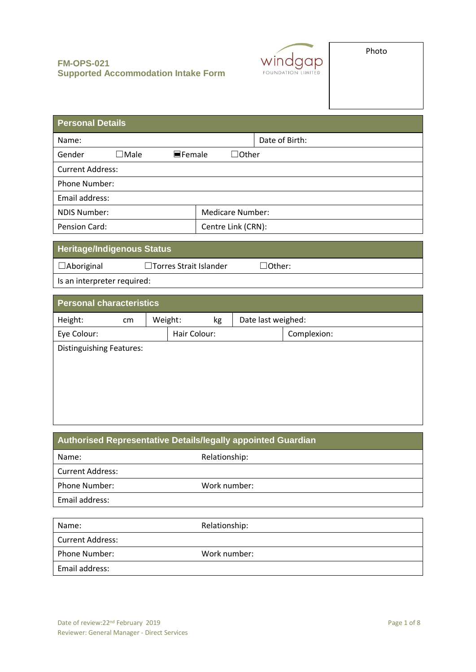

| <b>Personal Details</b> |             |                       |  |                         |                |
|-------------------------|-------------|-----------------------|--|-------------------------|----------------|
| Name:                   |             |                       |  |                         | Date of Birth: |
| Gender                  | $\Box$ Male | $\blacksquare$ Female |  | $\Box$ Other            |                |
| <b>Current Address:</b> |             |                       |  |                         |                |
| Phone Number:           |             |                       |  |                         |                |
| Email address:          |             |                       |  |                         |                |
| <b>NDIS Number:</b>     |             |                       |  | <b>Medicare Number:</b> |                |
| Pension Card:           |             |                       |  | Centre Link (CRN):      |                |

□Other:

# **Heritage/Indigenous Status**

| $\Box$ Aboriginal<br>□ Torres Strait Islander |  |
|-----------------------------------------------|--|
|-----------------------------------------------|--|

Is an interpreter required:

| <b>Personal characteristics</b> |    |         |              |    |                    |             |
|---------------------------------|----|---------|--------------|----|--------------------|-------------|
| Height:                         | cm | Weight: |              | kg | Date last weighed: |             |
| Eye Colour:                     |    |         | Hair Colour: |    |                    | Complexion: |
| <b>Distinguishing Features:</b> |    |         |              |    |                    |             |
|                                 |    |         |              |    |                    |             |
|                                 |    |         |              |    |                    |             |
|                                 |    |         |              |    |                    |             |
|                                 |    |         |              |    |                    |             |

| Authorised Representative Details/legally appointed Guardian |               |  |
|--------------------------------------------------------------|---------------|--|
| Name:                                                        | Relationship: |  |
| <b>Current Address:</b>                                      |               |  |
| Phone Number:                                                | Work number:  |  |
| Email address:                                               |               |  |
|                                                              |               |  |
| Name:                                                        | Relationship: |  |
| <b>Current Address:</b>                                      |               |  |
| <b>Phone Number:</b>                                         | Work number:  |  |

Email address: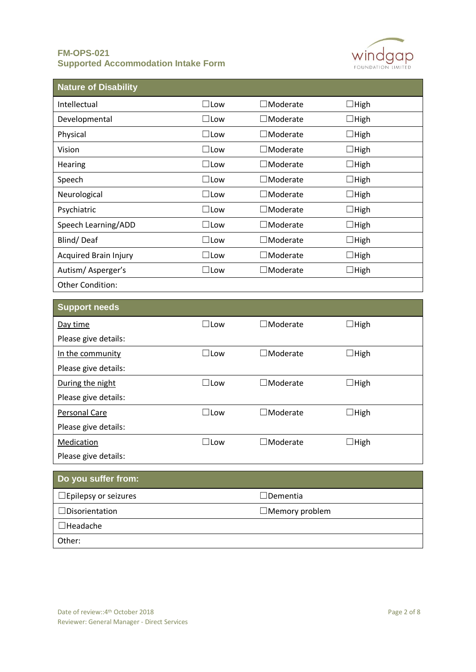

| <b>Nature of Disability</b>  |               |                 |             |
|------------------------------|---------------|-----------------|-------------|
| Intellectual                 | $\Box$ Low    | $\Box$ Moderate | $\Box$ High |
| Developmental                | ⊟Low          | $\Box$ Moderate | $\Box$ High |
| Physical                     | $\Box$ Low    | $\Box$ Moderate | $\Box$ High |
| Vision                       | $\Box$ Low    | $\Box$ Moderate | $\Box$ High |
| Hearing                      | $\square$ Low | $\Box$ Moderate | $\Box$ High |
| Speech                       | $\square$ Low | $\Box$ Moderate | $\Box$ High |
| Neurological                 | $\square$ Low | $\Box$ Moderate | $\Box$ High |
| Psychiatric                  | ⊟Low          | $\Box$ Moderate | $\Box$ High |
| Speech Learning/ADD          | $\square$ Low | $\Box$ Moderate | $\Box$ High |
| Blind/Deaf                   | $\square$ Low | $\Box$ Moderate | $\Box$ High |
| <b>Acquired Brain Injury</b> | $\square$ Low | $\Box$ Moderate | $\Box$ High |
| Autism/Asperger's            | $\square$ Low | $\Box$ Moderate | $\Box$ High |
| <b>Other Condition:</b>      |               |                 |             |

| <b>Support needs</b> |               |                    |             |  |
|----------------------|---------------|--------------------|-------------|--|
| Day time             | $\square$ Low | $\square$ Moderate | $\Box$ High |  |
| Please give details: |               |                    |             |  |
| In the community     | $\Box$ Low    | $\Box$ Moderate    | $\Box$ High |  |
| Please give details: |               |                    |             |  |
| During the night     | $\Box$ Low    | $\Box$ Moderate    | $\Box$ High |  |
| Please give details: |               |                    |             |  |
| Personal Care        | $\Box$ Low    | $\Box$ Moderate    | $\Box$ High |  |
| Please give details: |               |                    |             |  |
| Medication           | $\Box$ Low    | $\Box$ Moderate    | $\Box$ High |  |
| Please give details: |               |                    |             |  |
| Do you suffer from:  |               |                    |             |  |
|                      |               |                    |             |  |

| <b>DU YUU SUITEI II UIII.</b>  |                       |
|--------------------------------|-----------------------|
| $\square$ Epilepsy or seizures | $\Box$ Dementia       |
| $\Box$ Disorientation          | $\Box$ Memory problem |
| $\Box$ Headache                |                       |
| Other:                         |                       |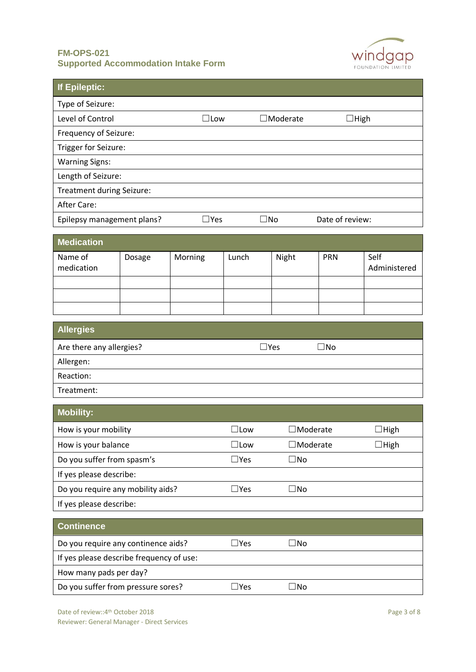

| <b>If Epileptic:</b>                                   |        |            |               |                 |                 |                      |
|--------------------------------------------------------|--------|------------|---------------|-----------------|-----------------|----------------------|
| Type of Seizure:                                       |        |            |               |                 |                 |                      |
| Level of Control<br>$\Box$ Low                         |        |            |               | $\Box$ Moderate |                 | $\Box$ High          |
| Frequency of Seizure:                                  |        |            |               |                 |                 |                      |
| Trigger for Seizure:                                   |        |            |               |                 |                 |                      |
| <b>Warning Signs:</b>                                  |        |            |               |                 |                 |                      |
| Length of Seizure:                                     |        |            |               |                 |                 |                      |
| Treatment during Seizure:                              |        |            |               |                 |                 |                      |
| <b>After Care:</b>                                     |        |            |               |                 |                 |                      |
| Epilepsy management plans?                             |        | $\Box$ Yes |               | $\square$ No    | Date of review: |                      |
| <b>Medication</b>                                      |        |            |               |                 |                 |                      |
| Name of<br>medication                                  | Dosage | Morning    | Lunch         | Night           | PRN             | Self<br>Administered |
|                                                        |        |            |               |                 |                 |                      |
|                                                        |        |            |               |                 |                 |                      |
| <b>Allergies</b>                                       |        |            |               |                 |                 |                      |
| Are there any allergies?<br>$\Box$ Yes<br>$\square$ No |        |            |               |                 |                 |                      |
| Allergen:                                              |        |            |               |                 |                 |                      |
| Reaction:                                              |        |            |               |                 |                 |                      |
| Treatment:                                             |        |            |               |                 |                 |                      |
| <b>Mobility:</b>                                       |        |            |               |                 |                 |                      |
| How is your mobility                                   |        |            | $\Box$ Low    |                 | $\Box$ Moderate | $\Box$ High          |
| How is your balance                                    |        |            | $\square$ Low | $\Box$ Moderate |                 | $\Box$ High          |
| Do you suffer from spasm's                             |        |            | $\square$ Yes | $\square$ No    |                 |                      |
| If yes please describe:                                |        |            |               |                 |                 |                      |
| Do you require any mobility aids?                      |        |            | $\square$ Yes | $\square$ No    |                 |                      |
| If yes please describe:                                |        |            |               |                 |                 |                      |
| <b>Continence</b>                                      |        |            |               |                 |                 |                      |
| Do you require any continence aids?                    |        |            | $\Box$ Yes    | $\square$ No    |                 |                      |
| If yes please describe frequency of use:               |        |            |               |                 |                 |                      |
| How many pads per day?                                 |        |            |               |                 |                 |                      |
| Do you suffer from pressure sores?                     |        |            | $\Box$ Yes    | $\square$ No    |                 |                      |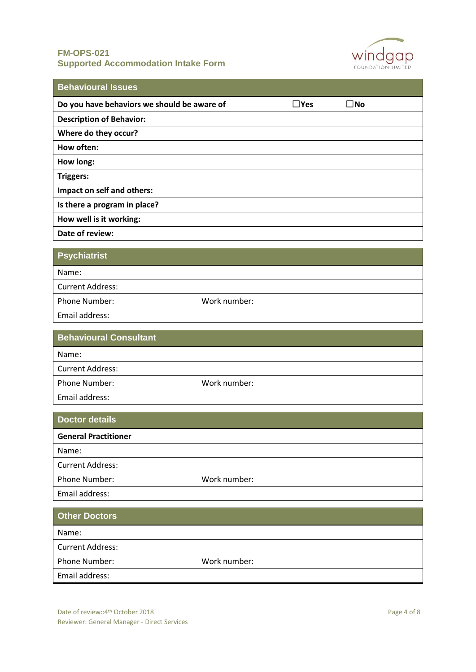

| <b>Behavioural Issues</b>                   |            |              |
|---------------------------------------------|------------|--------------|
| Do you have behaviors we should be aware of | $\Box$ Yes | $\square$ No |
| <b>Description of Behavior:</b>             |            |              |
| Where do they occur?                        |            |              |
| How often:                                  |            |              |
| How long:                                   |            |              |
| <b>Triggers:</b>                            |            |              |
| Impact on self and others:                  |            |              |
| Is there a program in place?                |            |              |
| How well is it working:                     |            |              |
| Date of review:                             |            |              |
| <b>Psychiatrist</b>                         |            |              |

| Name:                   |              |  |
|-------------------------|--------------|--|
| <b>Current Address:</b> |              |  |
| Phone Number:           | Work number: |  |
| Email address:          |              |  |

| <b>Behavioural Consultant</b> |              |
|-------------------------------|--------------|
| Name:                         |              |
| <b>Current Address:</b>       |              |
| Phone Number:                 | Work number: |
| Email address:                |              |

| <b>Doctor details</b>       |              |
|-----------------------------|--------------|
| <b>General Practitioner</b> |              |
| Name:                       |              |
| <b>Current Address:</b>     |              |
| Phone Number:               | Work number: |
| Email address:              |              |

| <b>Other Doctors</b>    |              |
|-------------------------|--------------|
| Name:                   |              |
| <b>Current Address:</b> |              |
| Phone Number:           | Work number: |
| Email address:          |              |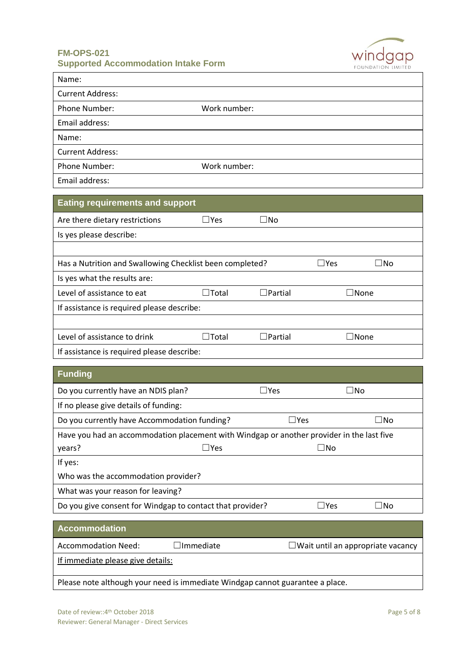

| Name:                   |              |
|-------------------------|--------------|
| <b>Current Address:</b> |              |
| Phone Number:           | Work number: |
| Email address:          |              |
| Name:                   |              |
| <b>Current Address:</b> |              |
| Phone Number:           | Work number: |
| Email address:          |              |

| <b>Eating requirements and support</b>                   |                     |                |             |              |
|----------------------------------------------------------|---------------------|----------------|-------------|--------------|
| Are there dietary restrictions                           | $\Box$ Yes          | $\Box$ No      |             |              |
| Is yes please describe:                                  |                     |                |             |              |
|                                                          |                     |                |             |              |
| Has a Nutrition and Swallowing Checklist been completed? |                     |                | $\Box$ Yes  | $\square$ No |
| Is yes what the results are:                             |                     |                |             |              |
| Level of assistance to eat                               | <b>Total</b><br>- 1 | $\Box$ Partial | $\Box$ None |              |
| If assistance is required please describe:               |                     |                |             |              |
|                                                          |                     |                |             |              |
| Level of assistance to drink                             | <b>Total</b>        | $\Box$ Partial |             | $\Box$ None  |
| If assistance is required please describe:               |                     |                |             |              |

| <b>Funding</b>                                                                                      |            |              |              |             |
|-----------------------------------------------------------------------------------------------------|------------|--------------|--------------|-------------|
| Do you currently have an NDIS plan?                                                                 |            | $\sqcup$ Yes |              | $\sqcup$ No |
| If no please give details of funding:                                                               |            |              |              |             |
| Do you currently have Accommodation funding?                                                        |            | $\sqcup$ Yes |              | $\Box$ No   |
| Have you had an accommodation placement with Windgap or another provider in the last five<br>years? | $\Box$ Yes |              | ⊥No          |             |
| If yes:                                                                                             |            |              |              |             |
| Who was the accommodation provider?                                                                 |            |              |              |             |
| What was your reason for leaving?                                                                   |            |              |              |             |
| Do you give consent for Windgap to contact that provider?                                           |            |              | $\sqcup$ Yes | ⊥No         |
|                                                                                                     |            |              |              |             |
| <b>Accommodation</b>                                                                                |            |              |              |             |

| <b>Accommodation Need:</b>                                                    | $\Box$ Immediate | $\Box$ Wait until an appropriate vacancy |
|-------------------------------------------------------------------------------|------------------|------------------------------------------|
| If immediate please give details:                                             |                  |                                          |
| Please note although your need is immediate Windgap cannot guarantee a place. |                  |                                          |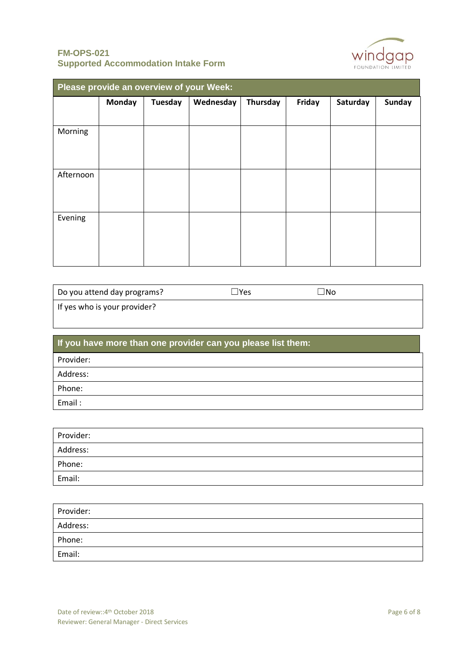

| Please provide an overview of your Week: |               |                |           |          |        |          |               |
|------------------------------------------|---------------|----------------|-----------|----------|--------|----------|---------------|
|                                          | <b>Monday</b> | <b>Tuesday</b> | Wednesday | Thursday | Friday | Saturday | <b>Sunday</b> |
|                                          |               |                |           |          |        |          |               |
| Morning                                  |               |                |           |          |        |          |               |
| Afternoon                                |               |                |           |          |        |          |               |
| Evening                                  |               |                |           |          |        |          |               |

| Do you attend day programs?  | $\Box$ Yes | ∃No |
|------------------------------|------------|-----|
| If yes who is your provider? |            |     |

| If you have more than one provider can you please list them: |
|--------------------------------------------------------------|
| Provider:                                                    |
| Address:                                                     |
| Phone:                                                       |
| Email:                                                       |

| Provider: |  |
|-----------|--|
| Address:  |  |
| Phone:    |  |
| Email:    |  |

| Provider: |  |
|-----------|--|
| Address:  |  |
| Phone:    |  |
| Email:    |  |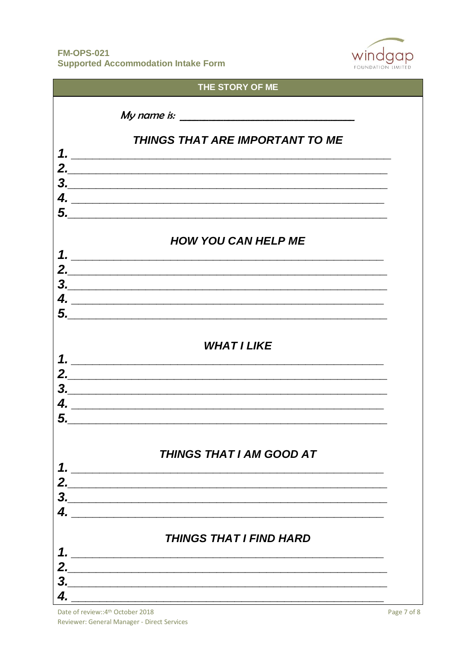

|               | THE STORY OF ME                                                                                                        |
|---------------|------------------------------------------------------------------------------------------------------------------------|
|               | My name is: $\overline{\phantom{a} \phantom{a} \phantom{a}}$                                                           |
|               |                                                                                                                        |
|               | THINGS THAT ARE IMPORTANT TO ME                                                                                        |
|               | 1. $\overline{\phantom{a}}$                                                                                            |
|               |                                                                                                                        |
|               | $\begin{array}{c}\n3.\n\end{array}$                                                                                    |
| 4.            | <u> Andrewski kompozitor († 1989)</u>                                                                                  |
|               |                                                                                                                        |
|               | <b>HOW YOU CAN HELP ME</b>                                                                                             |
|               | 1. $\overline{\phantom{a}}$                                                                                            |
|               |                                                                                                                        |
|               | $\begin{array}{c c} \hline \text{3.} & \text{5.} \\ \hline \end{array}$                                                |
| 4.            | <u> 2000 - Jan Barnett, mars et al. (</u>                                                                              |
|               |                                                                                                                        |
|               |                                                                                                                        |
|               | <b>WHAT I LIKE</b>                                                                                                     |
| 1.            | <u> 2008 - Jan Barbara, martxa al III-lea (h. 1888).</u>                                                               |
| 2.            |                                                                                                                        |
| З.            | <u> 1989 - Andrea Andrewski, amerikansk politik (d. 1989)</u>                                                          |
|               | <u> 1980 - Jan Barbara, margaret eta biztanleria (h. 1980).</u>                                                        |
| 5.            | <u> 1989 - Johann Stoff, amerikansk politiker (d. 1989)</u>                                                            |
|               |                                                                                                                        |
|               | <b>THINGS THAT I AM GOOD AT</b>                                                                                        |
| $\mathbf 1$ . |                                                                                                                        |
|               |                                                                                                                        |
|               | $\begin{array}{c}\n3.\n\end{array}$                                                                                    |
| 4.            |                                                                                                                        |
|               | <b>THINGS THAT I FIND HARD</b>                                                                                         |
| 1.            | <u> 1988 - Johann John Stone, mars and de British and de British and de British and de British and de British an</u>   |
|               |                                                                                                                        |
| 3             | <u> 1989 - Johann Stoff, deutscher Stoff, der Stoff, deutscher Stoff, der Stoff, der Stoff, der Stoff, der Stoff, </u> |
|               |                                                                                                                        |